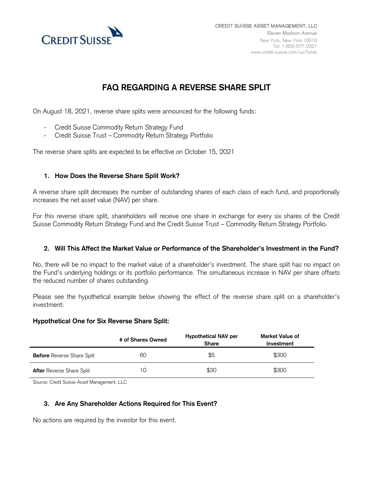

# **FAQ REGARDING A REVERSE SHARE SPLIT**

On August 18, 2021, reverse share splits were announced for the following funds:

- Credit Suisse Commodity Return Strategy Fund
- Credit Suisse Trust Commodity Return Strategy Portfolio

The reverse share splits are expected to be effective on October 15, 2021

# **1. How Does the Reverse Share Split Work?**

A reverse share split decreases the number of outstanding shares of each class of each fund, and proportionally increases the net asset value (NAV) per share.

For this reverse share split, shareholders will receive one share in exchange for every six shares of the Credit Suisse Commodity Return Strategy Fund and the Credit Suisse Trust – Commodity Return Strategy Portfolio.

## **2. Will This Affect the Market Value or Performance of the Shareholder's Investment in the Fund?**

No, there will be no impact to the market value of a shareholder's investment. The share split has no impact on the Fund's underlying holdings or its portfolio performance. The simultaneous increase in NAV per share offsets the reduced number of shares outstanding.

Please see the hypothetical example below showing the effect of the reverse share split on a shareholder's investment:

## **Hypothetical One for Six Reverse Share Split:**

|                                   | # of Shares Owned | <b>Hypothetical NAV per</b><br><b>Share</b> | Market Value of<br>Investment |
|-----------------------------------|-------------------|---------------------------------------------|-------------------------------|
| <b>Before</b> Reverse Share Split | 60                | \$5                                         | \$300                         |
| <b>After</b> Reverse Share Split  | 10                | \$30                                        | \$300                         |

Source: Credit Suisse Asset Management, LLC

## **3. Are Any Shareholder Actions Required for This Event?**

No actions are required by the investor for this event.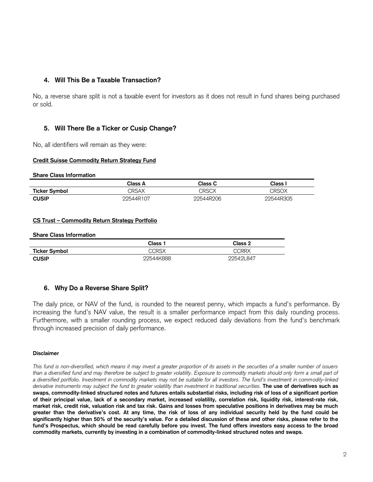## **4. Will This Be a Taxable Transaction?**

No, a reverse share split is not a taxable event for investors as it does not result in fund shares being purchased or sold.

## **5. Will There Be a Ticker or Cusip Change?**

No, all identifiers will remain as they were:

#### **Credit Suisse Commodity Return Strategy Fund**

**Share Class Information**

|                      | Class A   | Class C   | $\mathsf{Class}$ |
|----------------------|-----------|-----------|------------------|
| <b>Ticker Symbol</b> | CRSAX     | CRSCX     | CRSOX            |
| <b>CUSIP</b>         | 22544R107 | 22544R206 | 22544R305        |

#### **CS Trust – Commodity Return Strategy Portfolio**

#### **Share Class Information**

|                      | Class 1   | Class 2   |
|----------------------|-----------|-----------|
| <b>Ticker Symbol</b> | CCRSX     | CCRRX     |
| <b>CUSIP</b>         | 22544K888 | 22542L847 |

## **6. Why Do a Reverse Share Split?**

The daily price, or NAV of the fund, is rounded to the nearest penny, which impacts a fund's performance. By increasing the fund's NAV value, the result is a smaller performance impact from this daily rounding process. Furthermore, with a smaller rounding process, we expect reduced daily deviations from the fund's benchmark through increased precision of daily performance.

#### **Disclaimer**

*This fund is non-diversified, which means it may invest a greater proportion of its assets in the securities of a smaller number of issuers than a diversified fund and may therefore be subject to greater volatility. Exposure to commodity markets should only form a small part of a diversified portfolio. Investment in commodity markets may not be suitable for all investors. The fund's investment in commodity-linked derivative instruments may subject the fund to greater volatility than investment in traditional securities.* **The use of derivatives such as swaps, commodity-linked structured notes and futures entails substantial risks, including risk of loss of a significant portion of their principal value, lack of a secondary market, increased volatility, correlation risk, liquidity risk, interest-rate risk, market risk, credit risk, valuation risk and tax risk. Gains and losses from speculative positions in derivatives may be much greater than the derivative's cost. At any time, the risk of loss of any individual security held by the fund could be significantly higher than 50% of the security's value. For a detailed discussion of these and other risks, please refer to the fund's Prospectus, which should be read carefully before you invest. The fund offers investors easy access to the broad commodity markets, currently by investing in a combination of commodity-linked structured notes and swaps.**